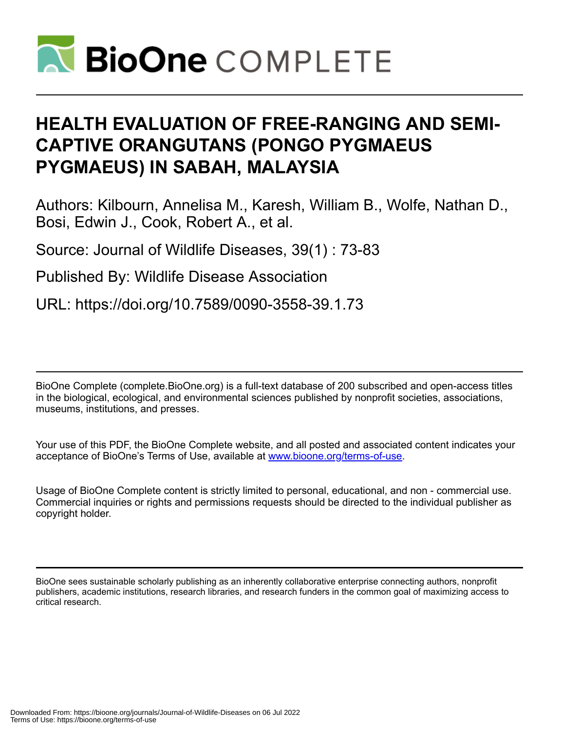

# **HEALTH EVALUATION OF FREE-RANGING AND SEMI-CAPTIVE ORANGUTANS (PONGO PYGMAEUS PYGMAEUS) IN SABAH, MALAYSIA**

Authors: Kilbourn, Annelisa M., Karesh, William B., Wolfe, Nathan D., Bosi, Edwin J., Cook, Robert A., et al.

Source: Journal of Wildlife Diseases, 39(1) : 73-83

Published By: Wildlife Disease Association

URL: https://doi.org/10.7589/0090-3558-39.1.73

BioOne Complete (complete.BioOne.org) is a full-text database of 200 subscribed and open-access titles in the biological, ecological, and environmental sciences published by nonprofit societies, associations, museums, institutions, and presses.

Your use of this PDF, the BioOne Complete website, and all posted and associated content indicates your acceptance of BioOne's Terms of Use, available at www.bioone.org/terms-of-use.

Usage of BioOne Complete content is strictly limited to personal, educational, and non - commercial use. Commercial inquiries or rights and permissions requests should be directed to the individual publisher as copyright holder.

BioOne sees sustainable scholarly publishing as an inherently collaborative enterprise connecting authors, nonprofit publishers, academic institutions, research libraries, and research funders in the common goal of maximizing access to critical research.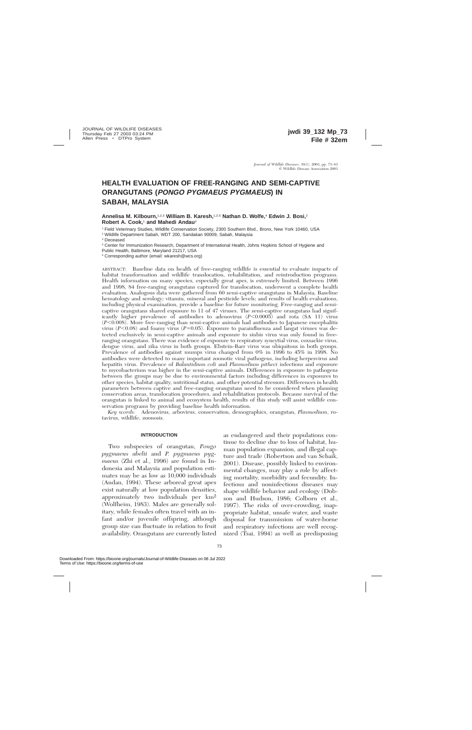# **HEALTH EVALUATION OF FREE-RANGING AND SEMI-CAPTIVE ORANGUTANS (PONGO PYGMAEUS PYGMAEUS) IN SABAH, MALAYSIA**

# **Annelisa M. Kilbourn,**1,2,3 **William B. Karesh,**1,2,5 **Nathan D. Wolfe,**<sup>4</sup> **Edwin J. Bosi,**<sup>2</sup> **Robert A. Cook,**<sup>1</sup> **and Mahedi Andau**<sup>2</sup>

<sup>1</sup> Field Veterinary Studies, Wildlife Conservation Society, 2300 Southern Blvd., Bronx, New York 10460, USA

<sup>2</sup> Wildlife Department Sabah, WDT 200, Sandakan 90009, Sabah, Malaysia

<sup>3</sup> Deceased

<sup>4</sup> Center for Immunization Research, Department of International Health, Johns Hopkins School of Hygiene and

Public Health, Baltimore, Maryland 21217, USA

<sup>5</sup> Corresponding author (email: wkaresh@wcs.org)

ABSTRACT: Baseline data on health of free-ranging wildlife is essential to evaluate impacts of habitat transformation and wildlife translocation, rehabilitation, and reintroduction programs. Health information on many species, especially great apes, is extremely limited. Between 1996 and 1998, 84 free-ranging orangutans captured for translocation, underwent a complete health evaluation. Analogous data were gathered from 60 semi-captive orangutans in Malaysia. Baseline hematology and serology; vitamin, mineral and pesticide levels; and results of health evaluations, including physical examination, provide a baseline for future monitoring. Free-ranging and semicaptive orangutans shared exposure to 11 of 47 viruses. The semi-captive orangutans had significantly higher prevalence of antibodies to adenovirus  $(P<0.0005)$  and rota (SA 11) virus (*P*,0.008). More free-ranging than semi-captive animals had antibodies to Japanese encephalitis virus ( $P \leq 0.08$ ) and foamy virus ( $P = 0.05$ ). Exposure to parainfluenza and langat viruses was detected exclusively in semi-captive animals and exposure to sinbis virus was only found in freeranging orangutans. There was evidence of exposure to respiratory syncytial virus, coxsackie virus, dengue virus, and zika virus in both groups. Ebstein-Barr virus was ubiquitous in both groups. Prevalence of antibodies against mumps virus changed from 0% in 1996 to 45% in 1998. No antibodies were detected to many important zoonotic viral pathogens, including herpesvirus and hepatitis virus. Prevalence of *Balantidium coli* and *Plasmodium pitheci* infections and exposure to mycobacterium was higher in the semi-captive animals. Differences in exposure to pathogens between the groups may be due to environmental factors including differences in exposures to other species, habitat quality, nutritional status, and other potential stressors. Differences in health parameters between captive and free-ranging orangutans need to be considered when planning conservation areas, translocation procedures, and rehabilitation protocols. Because survival of the orangutan is linked to animal and ecosystem health, results of this study will assist wildlife conservation programs by providing baseline health information.

*Key words:* Adenovirus, arbovirus, conservation, demographics, orangutan, *Plasmodium*, rotavirus, wildlife, zoonosis.

#### **INTRODUCTION**

Two subspecies of orangutan, *Pongo pygmaeus abelii* and *P. pygmaeus pygmaeus* (Zhi et al., 1996) are found in Indonesia and Malaysia and population estimates may be as low as 10,000 individuals (Andau, 1994). These arboreal great apes exist naturally at low population densities, approximately two individuals per km2 (Wolfheim, 1983). Males are generally solitary, while females often travel with an infant and/or juvenile offspring, although group size can fluctuate in relation to fruit availability. Orangutans are currently listed

as endangered and their populations continue to decline due to loss of habitat, human population expansion, and illegal capture and trade (Robertson and van Schaik, 2001). Disease, possibly linked to environmental changes, may play a role by affecting mortality, morbidity and fecundity. Infectious and noninfectious diseases may shape wildlife behavior and ecology (Dobson and Hudson, 1986; Colborn et al., 1997). The risks of over-crowding, inappropriate habitat, unsafe water, and waste disposal for transmission of water-borne and respiratory infections are well recognized (Tsai, 1994) as well as predisposing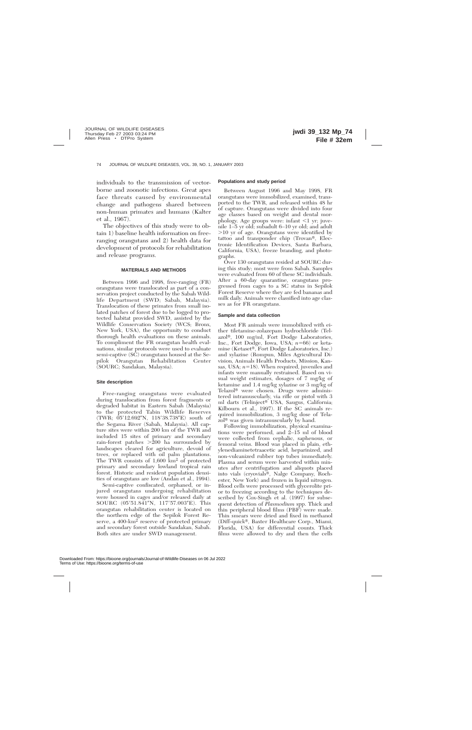individuals to the transmission of vectorborne and zoonotic infections. Great apes face threats caused by environmental change and pathogens shared between non-human primates and humans (Kalter et al., 1967).

The objectives of this study were to obtain 1) baseline health information on freeranging orangutans and 2) health data for development of protocols for rehabilitation and release programs.

# **MATERIALS AND METHODS**

Between 1996 and 1998, free-ranging (FR) orangutans were translocated as part of a conservation project conducted by the Sabah Wildlife Department (SWD; Sabah, Malaysia). Translocation of these primates from small isolated patches of forest due to be logged to protected habitat provided SWD, assisted by the Wildlife Conservation Society (WCS; Bronx, New York, USA), the opportunity to conduct thorough health evaluations on these animals. To compliment the FR orangutan health evaluations, similar protocols were used to evaluate semi-captive (SC) orangutans housed at the Sepilok Orangutan Rehabilitation Center (SOURC; Sandakan, Malaysia).

# **Site description**

Free-ranging orangutans were evaluated during translocation from forest fragments or degraded habitat in Eastern Sabah (Malaysia) to the protected Tabin Wildlife Reserves  $(TWR; 05'12.692''N, 118'38.738''E)$  south of the Segama River (Sabah, Malaysia). All capture sites were within 200 km of the TWR and included 15 sites of primary and secondary rain-forest patches  $>200$  ha surrounded by landscapes cleared for agriculture, devoid of trees, or replaced with oil palm plantations. The TWR consists of  $1,600 \text{ km}^2$  of protected primary and secondary lowland tropical rain forest. Historic and resident population densities of orangutans are low (Andau et al., 1994).

Semi-captive confiscated, orphaned, or injured orangutans undergoing rehabilitation were housed in cages and/or released daily at SOURC (05'51.841"N, 117'57.003"E). This orangutan rehabilitation center is located on the northern edge of the Sepilok Forest Reserve, a 400-km2 reserve of protected primary and secondary forest outside Sandakan, Sabah. Both sites are under SWD management.

# **Populations and study period**

Between August 1996 and May 1998, FR orangutans were immobilized, examined, transported to the TWR, and released within 48 hr of capture. Orangutans were divided into four age classes based on weight and dental morphology. Age groups were: infant  $\leq 1$  yr; juvenile 1–5 yr old; subadult 6–10 yr old; and adult .10 yr of age. Orangutans were identified by tattoo and transponder chip (Trovan®, Electronic Identification Devices, Santa Barbara, California, USA), freeze branding, and photographs.

Over 130 orangutans resided at SOURC during this study; most were from Sabah. Samples were evaluated from 60 of these SC individuals. After a 60-day quarantine, orangutans progressed from cages to a SC status in Sepilok Forest Reserve where they are fed bananas and milk daily. Animals were classified into age classes as for FR orangutans.

# **Sample and data collection**

Most FR animals were immobilized with either tiletamine-zolazepam hydrochloride (Telazol®, 100 mg/ml, Fort Dodge Laboratories, Inc., Fort Dodge, Iowa, USA;  $n=66$  or ketamine (Ketaset®, Fort Dodge Laboratories, Inc.) and xylazine (Rompun, Miles Agricultural Division, Animals Health Products, Mission, Kansas, USA;  $n=18$ ). When required, juveniles and infants were manually restrained. Based on visual weight estimates, dosages of 7 mg/kg of ketamine and 1.4 mg/kg xylazine or 3 mg/kg of Telazol<sup>®</sup> were chosen. Drugs were administered intramuscularly, via rifle or pistol with 3 ml darts (Telinject® USA, Saugus, California; Kilbourn et al., 1997). If the SC animals required immobilization, 3 mg/kg dose of Tela $zol^{\otimes}$  was given intramuscularly by hand.

Following immobilization, physical examinations were performed, and 2–15 ml of blood were collected from cephalic, saphenous, or femoral veins. Blood was placed in plain, ethylenediaminetetraacetic acid, heparinized, and non-vulcanized rubber top tubes immediately. Plasma and serum were harvested within minutes after centrifugation and aliquots placed into vials (cryovials®, Nalge Company, Rochester, New York) and frozen in liquid nitrogen. Blood cells were processed with glycerolite prior to freezing according to the techniques described by Cox-Singh et al. (1997) for subsequent detection of *Plasmodium* spp. Thick and thin peripheral blood films (PBF) were made. Thin smears were dried and fixed in methanol (Diff-quick<sup>®</sup>, Baxter Healthcare Corp., Miami, Florida, USA) for differential counts. Thick films were allowed to dry and then the cells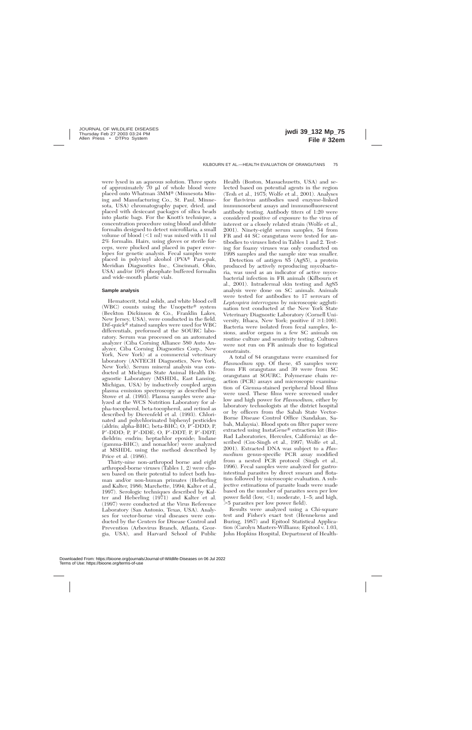were lysed in an aqueous solution. Three spots of approximately  $70 \mu l$  of whole blood were placed onto Whatman 3MM® (Minnesota Mining and Manufacturing Co., St. Paul, Minnesota, USA) chromatography paper, dried, and placed with desiccant packages of silica beads into plastic bags. For the Knott's technique, a concentration procedure using blood and dilute formalin designed to detect microfilaria, a small volume of blood  $\left($  <1 ml) was mixed with 11 ml 2% formalin. Hairs, using gloves or sterile forceps, were plucked and placed in paper envelopes for genetic analysis. Fecal samples were placed in polyvinyl alcohol (PVA® Para-pak, Meridian Diagnostics Inc., Cincinnati, Ohio, USA) and/or 10% phosphate buffered formalin and wide-mouth plastic vials.

#### **Sample analysis**

Hematocrit, total solids, and white blood cell (WBC) counts using the Unopette<sup>®</sup> system (Beckton Dickinson & Co., Franklin Lakes, New Jersey, USA), were conducted in the field.  $\text{Dif-quick}^{\circledast}$  stained samples were used for WBC differentials, preformed at the SOURC laboratory. Serum was processed on an automated analyzer (Ciba Corning Alliance 580 Auto Analyzer, Ciba Corning Diagnostics Corp., New York, New York) at a commercial veterinary laboratory (ANTECH Diagnostics, New York, New York). Serum mineral analysis was conducted at Michigan State Animal Health Diagnostic Laboratory (MSHDL, East Lansing, Michigan, USA) by inductively coupled argon plasma emission spectroscopy as described by Stowe et al. (1993). Plasma samples were analyzed at the WCS Nutrition Laboratory for alpha-tocopherol, beta-tocopherol, and retinol as described by Dierenfeld et al. (1993). Chlorinated and polychlorinated biphenyl pesticides (aldrin; alpha-BHC; beta-BHC; O, P'-DDD; P,  $P'$ -DDD; P, P'-DDE; O, P'-DDT; P, P'-DDT; dieldrin; endrin; heptachlor epoxide; lindane (gamma-BHC); and nonachlor) were analyzed at MSHDL using the method described by Price et al. (1986).

Thirty-nine non-arthropod borne and eight arthropod-borne viruses (Tables 1, 2) were chosen based on their potential to infect both human and/or non-human primates (Heberling and Kalter, 1986; Marchette, 1994; Kalter et al., 1997). Serologic techniques described by Kalter and Heberling (1971) and Kalter et al. (1997) were conducted at the Virus Reference Laboratory (San Antonio, Texas, USA). Analyses for vector-borne viral diseases were conducted by the Centers for Disease Control and Prevention (Arbovirus Branch, Atlanta, Georgia, USA), and Harvard School of Public

Health (Boston, Massachusetts, USA) and selected based on potential agents in the region (Tesh et al., 1975; Wolfe et al., 2001). Analyses for flavivirus antibodies used enzyme-linked immunosorbent assays and immunofluorescent antibody testing. Antibody titers of 1:20 were considered positive of exposure to the virus of interest or a closely related strain (Wolfe et al., 2001). Ninety-eight serum samples, 54 from FR and 44 SC orangutans were tested for antibodies to viruses listed in Tables 1 and 2. Testing for foamy viruses was only conducted on 1998 samples and the sample size was smaller.

Detection of antigen 85 (Ag85), a protein produced by actively reproducing mycobacteria, was used as an indicator of active mycobacterial infection in FR animals (Kilbourn et al., 2001). Intradermal skin testing and Ag85 analysis were done on SC animals. Animals were tested for antibodies to 17 serovars of *Leptospira interrogans* by microscopic agglutination test conducted at the New York State Veterinary Diagnostic Laboratory (Cornell University, Ithaca, New York; positive if  $\geq$ 1:100). Bacteria were isolated from fecal samples, lesions, and/or organs in a few SC animals on routine culture and sensitivity testing. Cultures were not run on FR animals due to logistical constraints.

A total of 84 orangutans were examined for *Plasmodium* spp. Of these, 45 samples were from FR orangutans and 39 were from SC orangutans at SOURC. Polymerase chain reaction (PCR) assays and microscopic examination of Giemsa-stained peripheral blood films were used. These films were screened under low and high power for *Plasmodium,* either by laboratory technologists at the district hospital or by officers from the Sabah State Vector-Borne Disease Control Office (Sandakan, Sabah, Malaysia). Blood spots on filter paper were extracted using InstaGene<sup>®</sup> extraction kit (Bio-Rad Laboratories, Hercules, California) as described (Cox-Singh et al., 1997; Wolfe et al., 2001). Extracted DNA was subject to a *Plasmodium* genus-specific PCR assay modified from a nested PCR protocol (Singh et al., 1996). Fecal samples were analyzed for gastrointestinal parasites by direct smears and flotation followed by microscopic evaluation. A subjective estimations of parasite loads were made based on the number of parasites seen per low power field (low,  $\leq$ 1; moderate, 1–5; and high, .5 parasites per low power field).

Results were analyzed using a Chi-square test and Fisher's exact test (Hennekens and Buring, 1987) and Epitool Statistical Application (Carolyn Masters-Williams; Epitool v. 1.03, John Hopkins Hospital, Department of Health-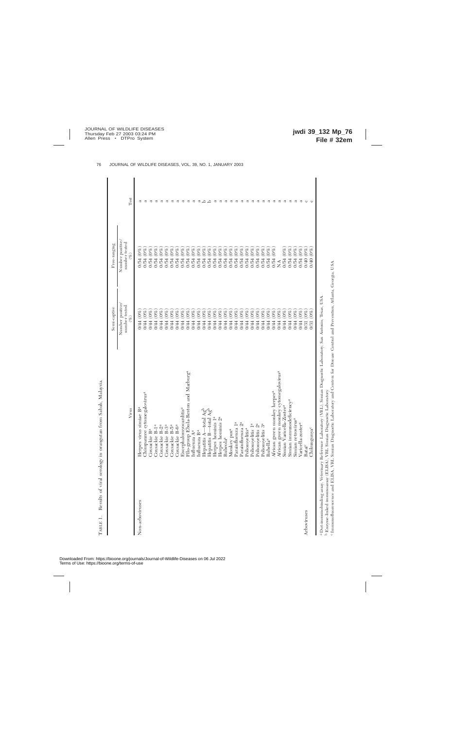|                 |                                                      | Semi-captive                     | Free-ranging                       |                |
|-----------------|------------------------------------------------------|----------------------------------|------------------------------------|----------------|
|                 |                                                      | Number positive<br>number tested | Number positive/<br>number tested  |                |
|                 | Virus                                                | $(\%)$                           | $(\%)$                             | Test           |
| Non-arboviruses | Herpes virus simiae B <sup>a</sup>                   | (0%<br>)/44                      | $0\%$<br>V54                       |                |
|                 | Chimpanzee cytomegalovirus <sup>a</sup>              | $(0\%$<br>0/44                   | $0\%$<br>V54                       | ದ              |
|                 | Coxsackie B <sup>a</sup>                             | $(0\%$<br>0/44                   | $(0\%$<br>V54                      | ದ              |
|                 | Coxsackie B-1ª                                       | $0\%$<br>0/44                    | $0\%$<br>V54                       | ದ              |
|                 | Coxsackie B-2 <sup>a</sup>                           | (0%<br>0/44                      | $0\%$<br>0/54                      | ದ              |
|                 | Coxsackie B-3 <sup>a</sup>                           | $0\%$<br>0/44                    | $\mathcal{O}^{\otimes}$<br>V54     | ದ              |
|                 | Coxsackie B-5 <sup>a</sup>                           | (0%<br>0/44                      | $\mathscr{O}(\mathscr{O})$<br>0/54 | ದ              |
|                 | Coxsackie B-6 <sup>a</sup>                           | $0\%$<br>0/44                    | $0\%$<br>154                       |                |
|                 | Encephalomyocarditis <sup>a</sup>                    | (0%<br>0/44                      | $0\%$<br>0/54                      |                |
|                 | Filo-group Ebola-Reston and Marburg <sup>a</sup>     | $(0\%$<br>0/44                   | $(0\%$<br>0/54                     |                |
|                 | Influenza A <sup>a</sup>                             | $(0\%$<br>0/44                   | $(0\%$<br>0/54                     | ಡ              |
|                 | Influenza B <sup>a</sup>                             | $(0\%$<br>0/44                   | (0%<br>0/54                        | ದ              |
|                 | Hepatitis A—total $Ag^b$                             | $(0\%$<br>0/44                   | $(0\%$<br>0/54                     | ≏              |
|                 | Hepatitis B—total $Ag^b$                             | $(0\%$<br>0/44                   | $0\%$<br>0/54                      | ᅀ              |
|                 | Herpes hominis 1ª                                    | $(0\%$<br>0/44                   | $(0\%$<br>0/54                     | ದ              |
|                 | Herpes hominis 2ª                                    | (0%<br>0/44                      | $(0\%$<br>0/54                     | ದ              |
|                 | Rubeola <sup>a</sup>                                 | $(0\%$<br>0/44                   | $(0\%$<br>3/54                     | ದ              |
|                 | Monkey pox <sup>a</sup>                              | $(0\%$<br>0/44                   | $0\%$<br>0/54                      |                |
|                 | Parainfluenza 1ª                                     | $(0\%)$<br>0/44                  | $0\%$<br>0/54                      | ದ              |
|                 | Parainfluenza 2 <sup>ª</sup>                         | $(0\%$<br>0/44                   | $(0\%$<br>0/54                     | ದ              |
|                 | Poliomyelitis <sup>a</sup>                           | $(0\%$<br>0/44                   | (0%<br>0/54                        |                |
|                 | Poliomyelitis 1ª                                     | $(0\%$<br>0/44                   | $0\%$<br>0/54                      | ದ              |
|                 | nyelitis 2ª<br>Poliom                                | $(0\%$<br>0/44                   | $0\%$<br>0/54                      |                |
|                 | Poliomyelitis 3ª                                     | $(0\%)$<br>0/44                  | $(0\%$<br>0/54                     | ದ              |
|                 | a <sup>a</sup><br>Rubell                             | (0%<br>0/44                      | (0%<br>0/54                        | $\mathfrak{a}$ |
|                 | green monkey herpes <sup>a</sup><br>African          | $0\%$<br>0/44                    | (0%<br>3/54                        | a              |
|                 | green monkey cytomegalovirus <sup>a</sup><br>African | (0%<br>0/44                      | $\frac{2}{2}$                      | ದ              |
|                 | Varicella-Zoster <sup>a</sup><br>Simian              | $0\%$<br>0/44                    | (0%<br>0/54                        | ದ              |
|                 | immunodeficiency <sup>a</sup><br>Simian              | $(0\%$<br>0/44                   | (0%<br>0/54                        | ದ              |
|                 | retrovirus <sup>a</sup><br>Simian                    | $(0\%$<br>0/44                   | (0%<br>V54                         | ದ              |
|                 | la-zoster <sup>a</sup><br>Varicel                    | $0\%$<br>0/44                    | $(0\%$<br>V54                      |                |
| Arboviruses     | Batai <sup>c</sup>                                   | $0\%$<br>0/31                    | (0%<br>0/40                        |                |
|                 | Chikungunya <sup>c</sup>                             | $0\%$<br>53                      | $\mathcal{O}^{\mathcal{O}}$<br>040 |                |

Immunofluorescence and ELISA, VRL Simian Diagnostic Laboratory and Centers for Disease Control and Prevention, Atlanta, Georgia, USA.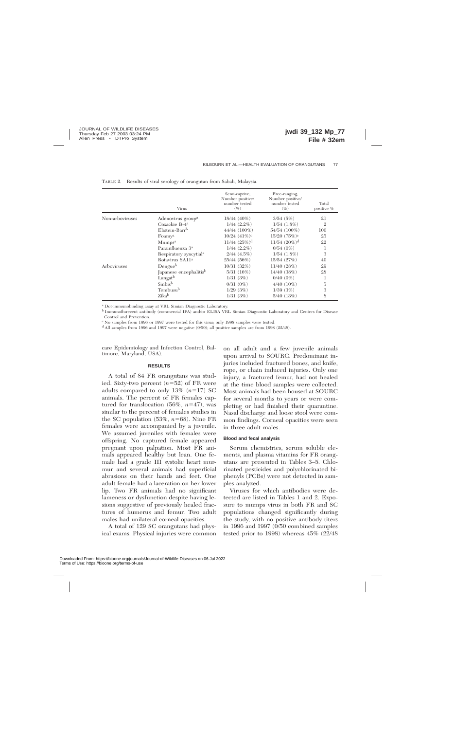|                 | Virus                              | Semi-captive;<br>Number positive/<br>number tested<br>$(\%)$ | Free-ranging;<br>Number positive/<br>number tested<br>$(\%)$ | Total<br>positive % |
|-----------------|------------------------------------|--------------------------------------------------------------|--------------------------------------------------------------|---------------------|
| Non-arboviruses | Adenovirus group <sup>a</sup>      | 18/44 (40%)                                                  | 3/54(5%)                                                     | 21                  |
|                 | Coxackie B-4 <sup>a</sup>          | $1/44$ $(2.2\%)$                                             | $1/54$ $(1.8\%)$                                             | $\mathbf{2}$        |
|                 | Ebstein-Barr <sup>b</sup>          | 44/44 (100%)                                                 | 54/54 (100%)                                                 | 100                 |
|                 | Foamy <sup>a</sup>                 | $10/24$ $(41\%)c$                                            | 15/20 (75%) <sup>c</sup>                                     | 25                  |
|                 | Mumps <sup>a</sup>                 | $11/44$ $(25\%)^{\rm d}$                                     | $11/54$ $(20\%)^{\rm d}$                                     | 22                  |
|                 | Parainfluenza 3 <sup>a</sup>       | $1/44$ $(2.2\%)$                                             | $0/54(0\%)$                                                  | 1                   |
|                 | Respiratory syncytial <sup>a</sup> | $2/44$ $(4.5\%)$                                             | $1/54$ $(1.8\%)$                                             | 3                   |
|                 | Rotavirus SA11 <sup>a</sup>        | 25/44 (56%)                                                  | 15/54 (27%)                                                  | 40                  |
| Arboviruses     | Dengueb                            | 10/31(32%)                                                   | $11/40$ $(28%)$                                              | 29                  |
|                 | Japanese encephalitis <sup>b</sup> | 5/31(16%)                                                    | $14/40$ $(38%)$                                              | 28                  |
|                 | Langat <sup>b</sup>                | 1/31(3%)                                                     | $0/40(0\%)$                                                  |                     |
|                 | Sinbish                            | $0/31(0\%)$                                                  | $4/40(10\%)$                                                 | 5                   |
|                 | Tembusub                           | 1/29(3%)                                                     | 1/39(3%)                                                     | 3                   |
|                 | Zikab                              | 1/31(3%)                                                     | $5/40$ $(13%)$                                               | 8                   |

TABLE 2. Results of viral serology of orangutan from Sabah, Malaysia.

<sup>a</sup> Dot-immunobinding assay at VRL Simian Diagnostic Laboratory.

<sup>b</sup> Immunoflurecent antibody (commercial IFA) and/or ELISA VRL Simian Diagnostic Laboratory and Centers for Disease Control and Prevention.

<sup>c</sup> No samples from 1996 or 1997 were tested for this virus; only 1998 samples were tested.

 $d$  All samples from 1996 and 1997 were negative  $(0/50)$ ; all positive samples are from 1998 (22/48).

care Epidemiology and Infection Control, Baltimore, Maryland, USA).

#### **RESULTS**

A total of 84 FR orangutans was studied. Sixty-two percent  $(n=52)$  of FR were adults compared to only  $13\%$   $(n=17)$  SC animals. The percent of FR females captured for translocation  $(56\%, n=47)$ , was similar to the percent of females studies in the SC population  $(53\%, n=68)$ . Nine FR females were accompanied by a juvenile. We assumed juveniles with females were offspring. No captured female appeared pregnant upon palpation. Most FR animals appeared healthy but lean. One female had a grade III systolic heart murmur and several animals had superficial abrasions on their hands and feet. One adult female had a laceration on her lower lip. Two FR animals had no significant lameness or dysfunction despite having lesions suggestive of previously healed fractures of humerus and femur. Two adult males had unilateral corneal opacities.

A total of 129 SC orangutans had physical exams. Physical injuries were common on all adult and a few juvenile animals upon arrival to SOURC. Predominant injuries included fractured bones, and knife, rope, or chain induced injuries. Only one injury, a fractured femur, had not healed at the time blood samples were collected. Most animals had been housed at SOURC for several months to years or were completing or had finished their quarantine. Nasal discharge and loose stool were common findings. Corneal opacities were seen in three adult males.

#### **Blood and fecal analysis**

Serum chemistries, serum soluble elements, and plasma vitamins for FR orangutans are presented in Tables 3–5. Chlorinated pesticides and polychlorinated biphenyls (PCBs) were not detected in samples analyzed.

Viruses for which antibodies were detected are listed in Tables 1 and 2. Exposure to mumps virus in both FR and SC populations changed significantly during the study, with no positive antibody titers in 1996 and 1997 (0/50 combined samples tested prior to 1998) whereas 45% (22/48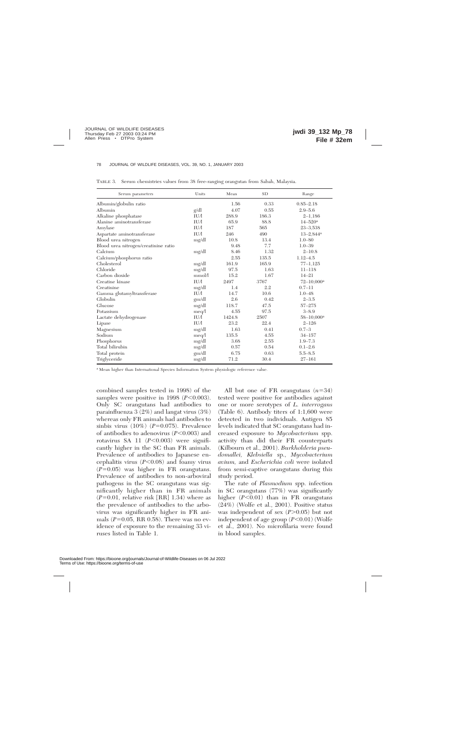| Serum parameters                     | Units | Mean   | <b>SD</b> | Range                      |
|--------------------------------------|-------|--------|-----------|----------------------------|
| Albumin/globulin ratio               |       | 1.56   | 0.33      | $0.85 - 2.18$              |
| Albumin                              | g/dl  | 4.07   | 0.55      | $2.9 - 5.6$                |
| Alkaline phosphatase                 | IU/1  | 288.9  | 186.3     | $2 - 1,186$                |
| Alanine aminotransferase             | IU/1  | 65.9   | 88.8      | $14 - 520$ <sup>a</sup>    |
| Amylase                              | IU/l  | 187    | 565       | 23-3,538                   |
| Aspartate aminotransferase           | IU/1  | 246    | 490       | $13 - 2,844$ <sup>a</sup>  |
| Blood urea nitrogen                  | mg/dl | 10.8   | 13.4      | $1.0 - 80$                 |
| Blood urea nitrogen/creatinine ratio |       | 9.48   | 7.7       | $1.0 - 39$                 |
| Calcium                              | mg/dl | 8.46   | 1.32      | $2 - 10.8$                 |
| Calcium/phosphorus ratio             |       | 2.55   | 135.5     | $1.12 - 4.5$               |
| Cholesterol                          | mg/dl | 161.9  | 165.9     | $77 - 1,125$               |
| Chloride                             | mg/dl | 97.5   | 1.63      | $11 - 118$                 |
| Carbon dioxide                       | mmol/ | 15.2   | 1.67      | $14 - 21$                  |
| Creatine kinase                      | IU/1  | 2497   | 3767      | $72 - 10,000$ <sup>a</sup> |
| Creatinine                           | mg/dl | 1.4    | 2.2       | $0.7 - 11$                 |
| Gamma glutamyltransferase            | IU/1  | 14.7   | 10.6      | $1.0 - 48$                 |
| Globulin                             | gm/dl | 2.6    | 0.42      | $2 - 3.5$                  |
| Glucose                              | mg/dl | 118.7  | 47.5      | $57 - 275$                 |
| Potassium                            | meq/1 | 4.55   | 97.5      | $3 - 8.9$                  |
| Lactate dehydrogenase                | IU/1  | 1424.8 | 2507      | $58 - 10,000$ <sup>a</sup> |
| Lipase                               | IU/l  | 23.2   | 22.4      | $2 - 126$                  |
| Magnesium                            | mg/dl | 1.63   | 0.41      | $0.7 - 3$                  |
| Sodium                               | meq/1 | 135.5  | 4.55      | $34 - 157$                 |
| Phosphorus                           | mg/dl | 3.68   | 2.55      | $1.9 - 7.3$                |
| Total bilirubin                      | mg/dl | 0.57   | 0.54      | $0.1 - 2.6$                |
| Total protein                        | gm/dl | 6.75   | 0.63      | $5.5 - 8.5$                |
| Triglyceride                         | mg/dl | 71.2   | 30.4      | $27 - 161$                 |

TABLE 3. Serum chemistries values from 38 free-ranging orangutan from Sabah, Malaysia.

<sup>a</sup> Mean higher than International Species Information System physiologic reference value.

combined samples tested in 1998) of the samples were positive in 1998  $(P<0.003)$ . Only SC orangutans had antibodies to parainfluenza 3 (2%) and langat virus (3%) whereas only FR animals had antibodies to sinbis virus  $(10\%)$   $(P=0.075)$ . Prevalence of antibodies to adenovirus (*P*<0.003) and rotavirus SA 11  $(P<0.003)$  were significantly higher in the SC than FR animals. Prevalence of antibodies to Japanese encephalitis virus  $(P<0.08)$  and foamy virus  $(P=0.05)$  was higher in FR orangutans. Prevalence of antibodies to non-arboviral pathogens in the SC orangutans was significantly higher than in FR animals  $(P=0.01,$  relative risk [RR] 1.34) where as the prevalence of antibodies to the arbovirus was significantly higher in FR animals  $(P=0.05, RR 0.58)$ . There was no evidence of exposure to the remaining 33 viruses listed in Table 1.

All but one of FR orangutans  $(n=34)$ tested were positive for antibodies against one or more serotypes of *L. interrogans* (Table 6). Antibody titers of 1:1,600 were detected in two individuals. Antigen 85 levels indicated that SC orangutans had increased exposure to *Mycobacterium* spp. activity than did their FR counterparts (Kilbourn et al., 2001). *Burkholderia pseudomallei, Klebsiella* sp., *Mycobacterium avium,* and *Escherichia coli* were isolated from semi-captive orangutans during this study period.

The rate of *Plasmodium* spp. infection in SC orangutans (77%) was significantly higher  $(P<0.01)$  than in FR orangutans (24%) (Wolfe et al., 2001). Positive status was independent of sex  $(P>0.05)$  but not independent of age group  $(P<0.01)$  (Wolfe et al., 2001). No microfilaria were found in blood samples.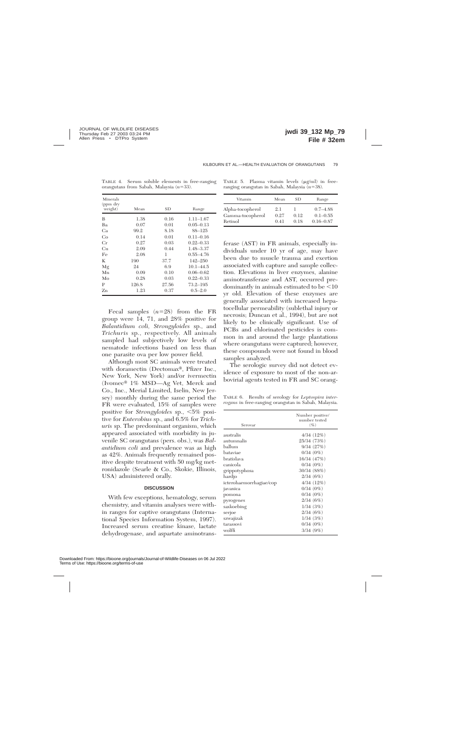| Minerals<br>(ppm dry |       |       |               |
|----------------------|-------|-------|---------------|
| weight)              | Mean  | SD.   | Range         |
| B                    | 1.38  | 0.16  | $1.11 - 1.67$ |
| Ba                   | 0.07  | 0.01  | $0.05 - 0.13$ |
| Cа                   | 99.2  | 8.18  | 88-125        |
| Co                   | 0.14  | 0.01  | $0.11 - 0.16$ |
| Cr                   | 0.27  | 0.03  | $0.22 - 0.33$ |
| Cп                   | 2.09  | 0.44  | 1.48-3.37     |
| Fe                   | 2.08  | 1     | $0.55 - 4.76$ |
| K                    | 190   | 37.7  | $142 - 250$   |
| Mg                   | 24    | 6.9   | $10.1 - 44.5$ |
| Mn                   | 0.09  | 0.10  | $0.06 - 0.62$ |
| Mo                   | 0.28  | 0.03  | $0.22 - 0.33$ |
| P                    | 126.8 | 27.56 | 73.2-195      |
| Zn                   | 1.23  | 0.37  | $0.5 - 2.0$   |

TABLE 4. Serum soluble elements in free-ranging orangutans from Sabah, Malaysia (*n*=33).

Fecal samples  $(n=28)$  from the FR group were 14, 71, and 28% positive for *Balantidium coli, Strongyloides* sp., and *Trichuris* sp., respectively. All animals sampled had subjectively low levels of nematode infections based on less than one parasite ova per low power field.

Although most SC animals were treated with doramectin (Dectomax®, Pfizer Inc., New York, New York) and/or ivermectin (Ivomec® 1% MSD—Ag Vet, Merck and Co., Inc., Merial Limited, Iselin, New Jersey) monthly during the same period the FR were evaluated, 15% of samples were positive for *Strongyloides* sp., <5% positive for *Enterobius* sp., and 6.5% for *Trichuris* sp. The predominant organism, which appeared associated with morbidity in juvenile SC orangutans (pers. obs.), was *Balantidium coli* and prevalence was as high as 42%. Animals frequently remained positive despite treatment with 50 mg/kg metronidazole (Searle & Co., Skokie, Illinois, USA) administered orally.

# **DISCUSSION**

With few exceptions, hematology, serum chemistry, and vitamin analyses were within ranges for captive orangutans (International Species Information System, 1997). Increased serum creatine kinase, lactate dehydrogenase, and aspartate aminotrans-

TABLE 5. Plasma vitamin levels  $(\mu\alpha/ml)$  in freeranging orangutan in Sabah, Malaysia  $(n=38)$ .

| Vitamin                                         | Mean                | SD           | Range                                         |
|-------------------------------------------------|---------------------|--------------|-----------------------------------------------|
| Alpha-tocopherol<br>Gamma-tocopherol<br>Retinol | 2.1<br>0.27<br>0.41 | 0.12<br>0.18 | $0.7 - 4.88$<br>$0.1 - 0.55$<br>$0.16 - 0.87$ |

ferase (AST) in FR animals, especially individuals under 10 yr of age, may have been due to muscle trauma and exertion associated with capture and sample collection. Elevations in liver enzymes, alanine aminotransferase and AST, occurred predominantly in animals estimated to be  $\leq 10$ yr old. Elevation of these enzymes are generally associated with increased hepatocellular permeability (sublethal injury or necrosis; Duncan et al., 1994), but are not likely to be clinically significant. Use of PCBs and chlorinated pesticides is common in and around the large plantations where orangutans were captured; however, these compounds were not found in blood samples analyzed.

The serologic survey did not detect evidence of exposure to most of the non-arbovirial agents tested in FR and SC orang-

TABLE 6. Results of serology for *Leptospira interrogans* in free-ranging orangutan in Sabah, Malaysia.

| Serovar                 | Number positive/<br>number tested<br>$(\%)$ |
|-------------------------|---------------------------------------------|
| australis               | 4/34(12%)                                   |
| autumnalis              | 25/34 (73%)                                 |
| ballum                  | 9/34(27%)                                   |
| bataviae                | $0/34(0\%)$                                 |
| bratislava              | 16/34 (47%)                                 |
| canicola                | $0/34(0\%)$                                 |
| grippotyphosa           | 30/34 (88%)                                 |
| hardjo                  | 2/34(6%)                                    |
| icterohaemorrhagiae/cop | 4/34(12%)                                   |
| javanica                | $0/34(0\%)$                                 |
| pomona                  | $0/34(0\%)$                                 |
| pyrogenes               | 2/34(6%)                                    |
| saxkoebing              | 1/34(3%)                                    |
| serjoe                  | 2/34(6%)                                    |
| szwajizak               | 1/34(3%)                                    |
| tarassovi               | $0/34(0\%)$                                 |
| wolffi                  | 3/34(9%)                                    |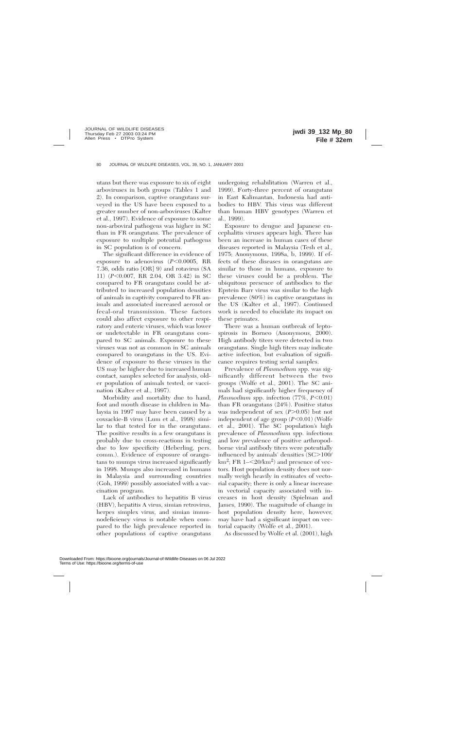utans but there was exposure to six of eight arboviruses in both groups (Tables 1 and 2). In comparison, captive orangutans surveyed in the US have been exposed to a greater number of non-arboviruses (Kalter et al., 1997). Evidence of exposure to some non-arboviral pathogens was higher in SC than in FR orangutans. The prevalence of exposure to multiple potential pathogens in SC population is of concern.

The significant difference in evidence of exposure to adenovirus  $(P<0.0005, \text{RR})$ 7.36, odds ratio [OR] 9) and rotavirus (SA 11) (*P*<0.007, RR 2.04, OR 3.42) in SC compared to FR orangutans could be attributed to increased population densities of animals in captivity compared to FR animals and associated increased aerosol or fecal-oral transmission. These factors could also affect exposure to other respiratory and enteric viruses, which was lower or undetectable in FR orangutans compared to SC animals. Exposure to these viruses was not as common in SC animals compared to orangutans in the US. Evidence of exposure to these viruses in the US may be higher due to increased human contact, samples selected for analysis, older population of animals tested, or vaccination (Kalter et al., 1997).

Morbidity and mortality due to hand, foot and mouth disease in children in Malaysia in 1997 may have been caused by a coxsackie-B virus (Lum et al., 1998) similar to that tested for in the orangutans. The positive results in a few orangutans is probably due to cross-reactions in testing due to low specificity (Heberling, pers. comm.). Evidence of exposure of orangutans to mumps virus increased significantly in 1998. Mumps also increased in humans in Malaysia and surrounding countries (Goh, 1999) possibly associated with a vaccination program.

Lack of antibodies to hepatitis B virus (HBV), hepatitis A virus, simian retrovirus, herpes simplex virus, and simian immunodeficiency virus is notable when compared to the high prevalence reported in other populations of captive orangutans undergoing rehabilitation (Warren et al., 1999). Forty-three percent of orangutans in East Kalimantan, Indonesia had antibodies to HBV. This virus was different than human HBV genotypes (Warren et al., 1999).

Exposure to dengue and Japanese encephalitis viruses appears high. There has been an increase in human cases of these diseases reported in Malaysia (Tesh et al., 1975; Anonymous, 1998a, b, 1999). If effects of these diseases in orangutans are similar to those in humans, exposure to these viruses could be a problem. The ubiquitous presence of antibodies to the Epstein Barr virus was similar to the high prevalence (80%) in captive orangutans in the US (Kalter et al., 1997). Continued work is needed to elucidate its impact on these primates.

There was a human outbreak of leptospirosis in Borneo (Anonymous, 2000). High antibody titers were detected in two orangutans. Single high titers may indicate active infection, but evaluation of significance requires testing serial samples.

Prevalence of *Plasmodium* spp. was significantly different between the two groups (Wolfe et al., 2001). The SC animals had significantly higher frequency of *Plasmodium* spp. infection  $(77\%, P<0.01)$ than FR orangutans (24%). Positive status was independent of sex  $(P>0.05)$  but not independent of age group  $(P<0.01)$  (Wolfe et al., 2001). The SC population's high prevalence of *Plasmodium* spp. infections and low prevalence of positive arthropodborne viral antibody titers were potentially influenced by animals' densities  $(SC>100/$  $km^2$ ; FR 1– $\leq$ 20/km<sup>2</sup>) and presence of vectors. Host population density does not normally weigh heavily in estimates of vectorial capacity; there is only a linear increase in vectorial capacity associated with increases in host density (Spielman and James, 1990). The magnitude of change in host population density here, however, may have had a significant impact on vectorial capacity (Wolfe et al., 2001).

As discussed by Wolfe et al. (2001), high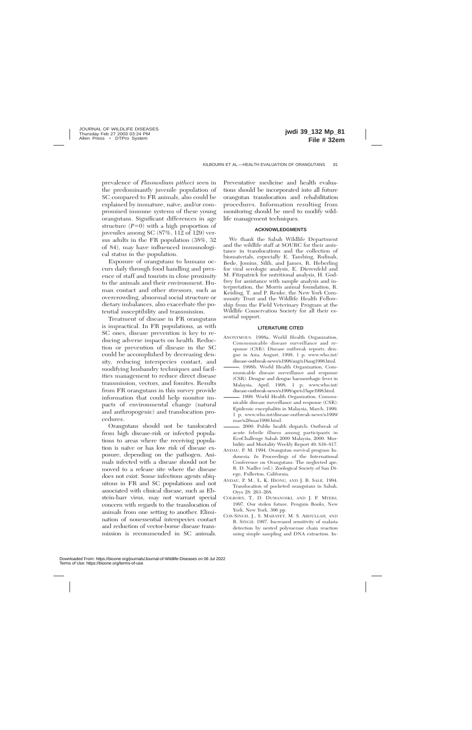prevalence of *Plasmodium pitheci* seen in the predominantly juvenile population of SC compared to FR animals, also could be explained by immature, naïve, and/or compromised immune systems of these young orangutans. Significant differences in age structure  $(P=0)$  with a high proportion of juveniles among SC (87%, 112 of 129) versus adults in the FR population (38%, 32 of 84), may have influenced immunological status in the population.

Exposure of orangutans to humans occurs daily through food handling and presence of staff and tourists in close proximity to the animals and their environment. Human contact and other stressors, such as overcrowding, abnormal social structure or dietary imbalances, also exacerbate the potential susceptibility and transmission.

Treatment of disease in FR orangutans is impractical. In FR populations, as with SC ones, disease prevention is key to reducing adverse impacts on health. Reduction or prevention of disease in the SC could be accomplished by decreasing density, reducing interspecies contact, and modifying husbandry techniques and facilities management to reduce direct disease transmission, vectors, and fomites. Results from FR orangutans in this survey provide information that could help monitor impacts of environmental change (natural and anthropogenic) and translocation procedures.

Orangutans should not be tanslocated from high disease-risk or infected populations to areas where the receiving population is naïve or has low risk of disease exposure, depending on the pathogen. Animals infected with a disease should not be moved to a release site where the disease does not exist. Some infectious agents ubiquitous in FR and SC populations and not associated with clinical disease, such as Ebstein-barr virus, may not warrant special concern with regards to the translocation of animals from one setting to another. Elimination of nonessential interspecies contact and reduction of vector-borne disease transmission is recommended in SC animals.

Preventative medicine and health evaluations should be incorporated into all future orangutan translocation and rehabilitation procedures. Information resulting from monitoring should be used to modify wildlife management techniques.

#### **ACKNOWLEDGMENTS**

We thank the Sabah Wildlife Department and the wildlife staff at SOURC for their assistance in translocations and the collection of biomaterials, especially E. Tambing, Rufinah, Bede, Jomius, Silih, and James, R. Heberling for viral serologic analysis, E. Dierenfeld and M. Fitzpatrick for nutritional analysis, H. Godfrey for assistance with sample analysis and interpretation, the Morris animal foundation, R. Keisling, T. and P. Renke, the New York Community Trust and the Wildlife Health Fellowship from the Field Veterinary Program at the Wildlife Conservation Society for all their essential support.

#### **LITERATURE CITED**

- ANONYMOUS. 1998a. World Health Organization, Communicable disease surveillance and response (CSR): Disease outbreak reports, dengue in Asia, August, 1998, 1 p; www.who.int/ disease-outbreak-news/n1998/aug/n18aug1998.html.
- . 1998b. World Health Organization, Communicable disease surveillance and response (CSR): Dengue and dengue haemorrhagic fever in Malaysia, April, 1998, 1 p; www.who.int/ disease-outbreak-news/n1998/apr/n15apr1998.html.
- . 1999. World Health Organization, Communicable disease surveillance and response (CSR): Epidemic encephalitis in Malaysia, March, 1999. 1 p; www.who.int/disease-outbreak-news/n1999/ mar/n26mar1999.html.
- . 2000. Public health dispatch: Outbreak of acute febrile illness among participants in EcoChallenge Sabah 2000 Malaysia, 2000. Morbidity and Mortality Weekly Report 49: 816–817.
- ANDAU, P. M. 1994. Orangutan survival program Indonesia. *In* Proceedings of the International Conference on Orangutans: The neglected ape, R. D. Nadler (ed.). Zoological Society of San Diego, Fullerton, California.
- ANDAU, P. M., L. K. HIONG, AND J. B. SALE. 1994. Translocation of pocketed orangutans in Sabah. Oryx 28: 263–268.
- COLBORN, T., D. DUMANOSKI, AND J. P. MYERS. 1997. Our stolen future. Penguin Books, New York, New York, 306 pp.
- COX-SINGH, J., S. MAHAYET, M. S. ABDULLAH, AND B. SINGH. 1997. Increased sensitivity of malaria detection by nested polymerase chain reaction using simple sampling and DNA extraction. In-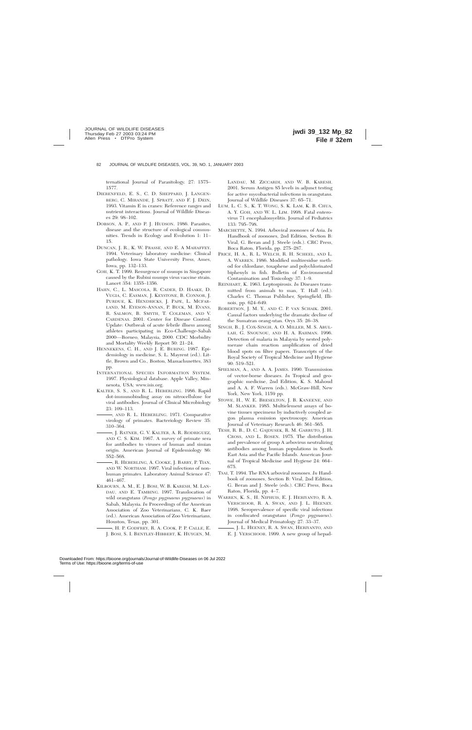ternational Journal of Parasitology. 27: 1575– 1577.

- DIERENFELD, E. S., C. D. SHEPPARD, J. LANGEN-BERG, C. MIRANDE, J. SPRATT, AND F. J. DEIN, 1993. Vitamin E in cranes: Reference ranges and nutrient interactions. Journal of Wildlife Diseases 29: 98–102.
- DOBSON, A. P., AND P. J. HUDSON. 1986. Parasites, disease and the structure of ecological communities. Trends in Ecology and Evolution 1: 11– 15.
- DUNCAN, J. R., K. W. PRASSE, AND E. A MAHAFFEY. 1994. Veterinary laboratory medicine: Clinical pathology. Iowa State University Press, Ames, Iowa, pp. 132–133.
- GOH, K. T. 1999. Resurgence of mumps in Singapore caused by the Rubini mumps virus vaccine strain. Lancet 354: 1355–1356.
- HAHN, C., L. MASCOLA, R. CADER, D. HAAKE, D. VUGIA, C. EASMAN, J. KEYSTONE, B. CONNOR, J. PURDUE, K. HENDRICKS, J. PAPE, L. MCFAR-LAND, M. EYESON-ANNAN, P. BUCK, M. EVANS, R. SALMON, B. SMYTH, T. COLEMAN, AND V. CARDENAS. 2001. Center for Disease Control. Update: Outbreak of acute febrile illness among athletes participating in Eco-Challenge-Sabah 2000—Borneo, Malaysia, 2000. CDC Morbidity and Mortality Weekly Report 50: 21–24.
- HENNEKENS, C. H., AND J. E. BURING. 1987. Epidemiology in medicine, S. L. Mayrent (ed.). Little, Brown and Co., Boston, Massachusettes, 383 pp.
- INTERNATIONAL SPECIES INFORMATION SYSTEM. 1997. Physiological database. Apple Valley, Minnesota, USA; www.isis.org.
- KALTER, S. S., AND R. L. HEBERLING. 1986. Rapid dot-immunobinding assay on nitrocellulose for viral antibodies. Journal of Clinical Microbiology 23: 109–113.
	- , AND R. L. HEBERLING. 1971. Comparative virology of primates. Bacteriology Review 35: 310–364.
	- , J. RATNER, G. V. KALTER, A. R. RODRIGUEZ, AND C. S. KIM. 1967. A survey of primate sera for antibodies to viruses of human and simian origin. American Journal of Epidemiology 86: 552–568.
- , R. HEBERLING, A. COOKE, J. BARRY, P. TIAN, AND W. NORTHAM. 1997. Viral infections of nonhuman primates. Laboratory Animal Science 47: 461–467.
- KILBOURN, A. M., E. J. BOSI, W. B. KARESH, M. LAN-DAU, AND E. TAMBING. 1997. Translocation of wild orangutans (*Pongo pygmaeus pygmaeus*) in Sabah, Malaysia. *In* Proceedings of the American Association of Zoo Veterinarians, C. K. Baer (ed.). American Association of Zoo Veterinarians, Houston, Texas, pp. 301.
	- , H. P. GODFREY, R. A. COOK, P. P. CALLE, E. J. BOSI, S. I. BENTLEY-HIBBERT, K. HUYGEN, M.

LANDAU, M. ZICCARDI, AND W. B. KARESH. 2001. Serum Antigen 85 levels in adjunct testing for active mycobacterial infections in orangutans. Journal of Wildlife Diseases 37: 65–71.

- LUM, L. C. S., K. T. WONG, S. K. LAM, K. B. CHUA, A. Y. GOH, AND W. L. LIM. 1998. Fatal enterovirus 71 encephalomyelitis. Journal of Pediatrics 133: 795–798.
- MARCHETTE, N. 1994. Arboviral zoonoses of Asia. *In* Handbook of zoonoses, 2nd Edition, Section B: Viral, G. Beran and J. Steele (eds.). CRC Press, Boca Raton, Florida, pp. 275–287.
- PRICE, H. A., R. L. WELCH, R. H. SCHEEL, AND L. A. WARREN. 1986. Modified multiresidue method for chlordane, toxaphene and polychlorinated biphenyls in fish. Bulletin of Environmental Contamination and Toxicology 37: 1–9.
- REINHART, K. 1963. Leptospirosis. *In* Diseases transmitted from animals to man, T. Hall (ed.). Charles C. Thomas Publisher, Springfield, Illinois, pp. 624–649.
- ROBERTSON, J. M. Y., AND C. P. VAN SCHAIK. 2001. Causal factors underlying the dramatic decline of the Sumatran orang-utan. Oryx 35: 26–38.
- SINGH, B., J. COX-SINGH, A. O. MILLER, M. S. ABUL-LAH, G. SNOUNOU, AND H. A. RAHMAN. 1996. Detection of malaria in Malaysia by nested polymerase chain reaction amplification of dried blood spots on filter papers. Transcripts of the Royal Society of Tropical Medicine and Hygiene 90: 519–521.
- SPIELMAN, A., AND A. A. JAMES. 1990. Transmission of vector-borne diseases. *In* Tropical and geographic medicine, 2nd Edition, K. S. Mahoud and A. A. F. Warren (eds.). McGraw-Hill, New York, New York, 1159 pp.
- STOWE, H., W. E. BRESELTON, J. B. KANEENE, AND M. SLANKER. 1985. Multielement assays of bovine tissues specimens by inductively coupled argon plasma emission spectroscopy. American Journal of Veterinary Research 46: 561–565.
- TESH, R. B., D. C. GAJDUSEK, R. M. GARRUTO, J. H. CROSS, AND L. ROSEN. 1975. The distribution and prevalence of group A arbovirus neutralizing antibodies among human populations in South East Asia and the Pacific Islands. American Journal of Tropical Medicine and Hygiene 24: 664– 675.
- TSAI, T. 1994. The RNA arboviral zoonoses. *In* Handbook of zoonoses, Section B: Viral, 2nd Edition, G. Beran and J. Steele (eds.). CRC Press, Boca Raton, Florida, pp. 4–7.
- WARREN, K. S., H. NIPHUIS, E. J. HERIYANTO, R. A. VERSCHOOR, R. A. SWAN, AND J. L. HEENEY. 1998. Seroprevalence of specific viral infections in confiscated orangutans (*Pongo pygmaeus*). Journal of Medical Primatology 27: 33–37.
	- , J. L. HEENEY, R. A. SWAN, HERIYANTO, AND E. J. VERSCHOOR. 1999. A new group of hepad-